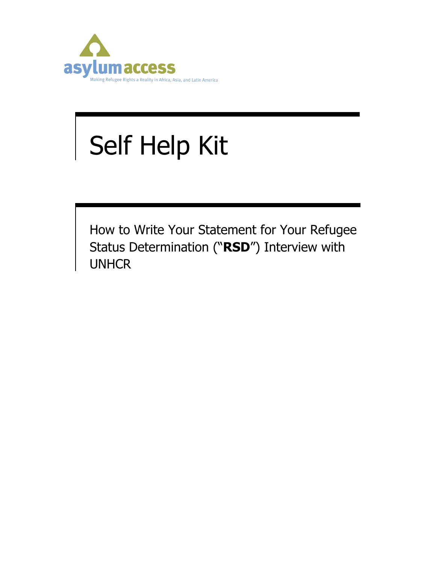

# Self Help Kit

How to Write Your Statement for Your Refugee Status Determination ("**RSD**") Interview with UNHCR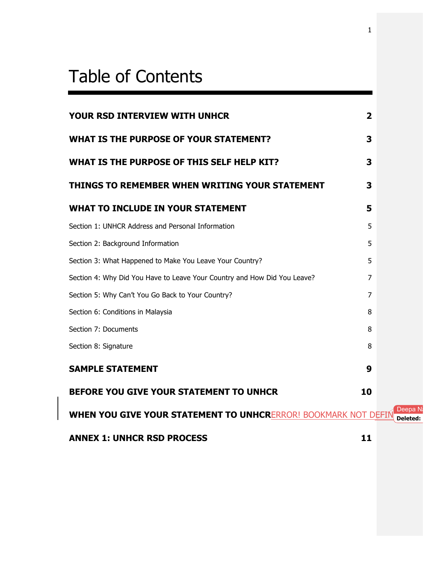#### . . . Table of Contents

.

| YOUR RSD INTERVIEW WITH UNHCR                                            | $\overline{2}$ |                     |
|--------------------------------------------------------------------------|----------------|---------------------|
| WHAT IS THE PURPOSE OF YOUR STATEMENT?                                   | 3              |                     |
| WHAT IS THE PURPOSE OF THIS SELF HELP KIT?                               | 3              |                     |
| THINGS TO REMEMBER WHEN WRITING YOUR STATEMENT                           | 3              |                     |
| WHAT TO INCLUDE IN YOUR STATEMENT                                        | 5              |                     |
| Section 1: UNHCR Address and Personal Information                        | 5              |                     |
| Section 2: Background Information                                        | 5              |                     |
| Section 3: What Happened to Make You Leave Your Country?                 | 5              |                     |
| Section 4: Why Did You Have to Leave Your Country and How Did You Leave? | 7              |                     |
| Section 5: Why Can't You Go Back to Your Country?                        | $\overline{7}$ |                     |
| Section 6: Conditions in Malaysia                                        | 8              |                     |
| Section 7: Documents                                                     | 8              |                     |
| Section 8: Signature                                                     | 8              |                     |
| <b>SAMPLE STATEMENT</b>                                                  | 9              |                     |
| <b>BEFORE YOU GIVE YOUR STATEMENT TO UNHCR</b>                           | 10             |                     |
| <b>WHEN YOU GIVE YOUR STATEMENT TO UNHCRERROR! BOOKMARK NOT DEFIN</b>    |                | Deepa N<br>Deleted: |
| <b>ANNEX 1: UNHCR RSD PROCESS</b>                                        | 11             |                     |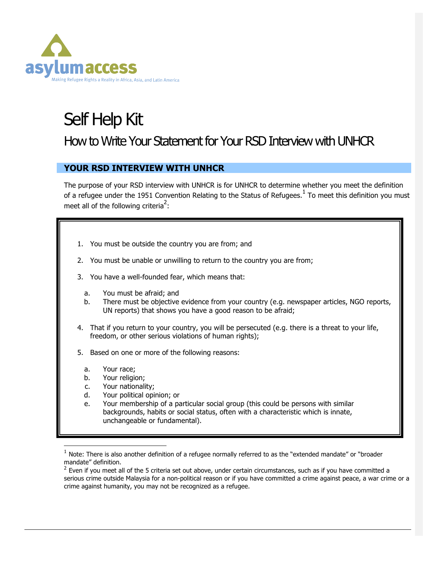

# Self Help Kit How to Write Your Statement for Your RSD Interview with UNHCR

## **YOUR RSD INTERVIEW WITH UNHCR**

The purpose of your RSD interview with UNHCR is for UNHCR to determine whether you meet the definition of a refugee under the 1951 Convention Relating to the Status of Refugees.<sup>1</sup> To meet this definition you must meet all of the following criteria<sup>2</sup>:

- 1. You must be outside the country you are from; and
- 2. You must be unable or unwilling to return to the country you are from;
- 3. You have a well-founded fear, which means that:
	- a. You must be afraid; and
	- b. There must be objective evidence from your country (e.g. newspaper articles, NGO reports, UN reports) that shows you have a good reason to be afraid;
- 4. That if you return to your country, you will be persecuted (e.g. there is a threat to your life, freedom, or other serious violations of human rights);
- 5. Based on one or more of the following reasons:
	- a. Your race;
	- b. Your religion;
	- c. Your nationality;
	- d. Your political opinion; or
	- e. Your membership of a particular social group (this could be persons with similar backgrounds, habits or social status, often with a characteristic which is innate, unchangeable or fundamental).

 $1$  Note: There is also another definition of a refugee normally referred to as the "extended mandate" or "broader mandate" definition. .

 $2$  Even if you meet all of the 5 criteria set out above, under certain circumstances, such as if you have committed a serious crime outside Malaysia for a non-political reason or if you have committed a crime against peace, a war crime or a crime against humanity, you may not be recognized as a refugee.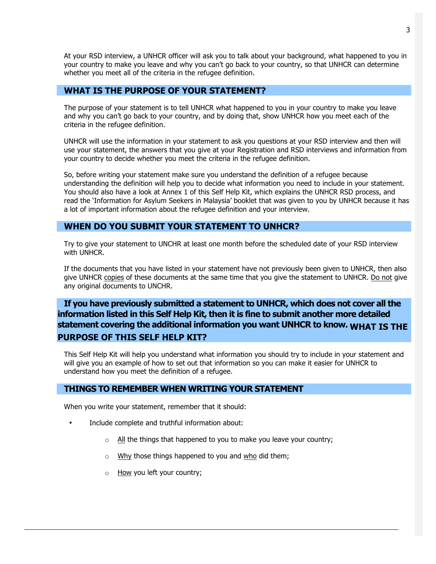At your RSD interview, a UNHCR officer will ask you to talk about your background, what happened to you in your country to make you leave and why you can't go back to your country, so that UNHCR can determine whether you meet all of the criteria in the refugee definition.

#### **WHAT IS THE PURPOSE OF YOUR STATEMENT?**

The purpose of your statement is to tell UNHCR what happened to you in your country to make you leave and why you can't go back to your country, and by doing that, show UNHCR how you meet each of the criteria in the refugee definition.

UNHCR will use the information in your statement to ask you questions at your RSD interview and then will use your statement, the answers that you give at your Registration and RSD interviews and information from your country to decide whether you meet the criteria in the refugee definition.

So, before writing your statement make sure you understand the definition of a refugee because understanding the definition will help you to decide what information you need to include in your statement. You should also have a look at Annex 1 of this Self Help Kit, which explains the UNHCR RSD process, and read the 'Information for Asylum Seekers in Malaysia' booklet that was given to you by UNHCR because it has a lot of important information about the refugee definition and your interview.

#### **WHEN DO YOU SUBMIT YOUR STATEMENT TO UNHCR?**

Try to give your statement to UNCHR at least one month before the scheduled date of your RSD interview with UNHCR.

If the documents that you have listed in your statement have not previously been given to UNHCR, then also give UNHCR copies of these documents at the same time that you give the statement to UNHCR. Do not give any original documents to UNCHR.

# **If you have previously submitted a statement to UNHCR, which does not cover all the information listed in this Self Help Kit, then it is fine to submit another more detailed statement covering the additional information you want UNHCR to know. WHAT IS THE PURPOSE OF THIS SELF HELP KIT?**

This Self Help Kit will help you understand what information you should try to include in your statement and will give you an example of how to set out that information so you can make it easier for UNHCR to understand how you meet the definition of a refugee.

#### **THINGS TO REMEMBER WHEN WRITING YOUR STATEMENT**

When you write your statement, remember that it should:

- Include complete and truthful information about:
	- $\circ$  All the things that happened to you to make you leave your country;
	- o Why those things happened to you and who did them;
	- o How you left your country;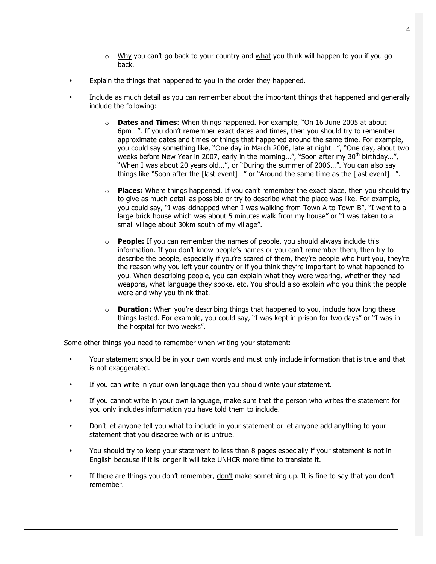- $\circ$  Why you can't go back to your country and what you think will happen to you if you go back.
- Explain the things that happened to you in the order they happened.
- Include as much detail as you can remember about the important things that happened and generally include the following:
	- o **Dates and Times**: When things happened. For example, "On 16 June 2005 at about 6pm…". If you don't remember exact dates and times, then you should try to remember approximate dates and times or things that happened around the same time. For example, you could say something like, "One day in March 2006, late at night…", "One day, about two weeks before New Year in 2007, early in the morning...", "Soon after my 30<sup>th</sup> birthday...", "When I was about 20 years old…", or "During the summer of 2006…". You can also say things like "Soon after the [last event]…" or "Around the same time as the [last event]…".
	- o **Places:** Where things happened. If you can't remember the exact place, then you should try to give as much detail as possible or try to describe what the place was like. For example, you could say, "I was kidnapped when I was walking from Town A to Town B", "I went to a large brick house which was about 5 minutes walk from my house" or "I was taken to a small village about 30km south of my village".
	- o **People:** If you can remember the names of people, you should always include this information. If you don't know people's names or you can't remember them, then try to describe the people, especially if you're scared of them, they're people who hurt you, they're the reason why you left your country or if you think they're important to what happened to you. When describing people, you can explain what they were wearing, whether they had weapons, what language they spoke, etc. You should also explain who you think the people were and why you think that.
	- o **Duration:** When you're describing things that happened to you, include how long these things lasted. For example, you could say, "I was kept in prison for two days" or "I was in the hospital for two weeks".

Some other things you need to remember when writing your statement:

- Your statement should be in your own words and must only include information that is true and that is not exaggerated.
- If you can write in your own language then you should write your statement.
- If you cannot write in your own language, make sure that the person who writes the statement for you only includes information you have told them to include.
- Don't let anyone tell you what to include in your statement or let anyone add anything to your statement that you disagree with or is untrue.
- You should try to keep your statement to less than 8 pages especially if your statement is not in English because if it is longer it will take UNHCR more time to translate it.
- If there are things you don't remember, don't make something up. It is fine to say that you don't remember.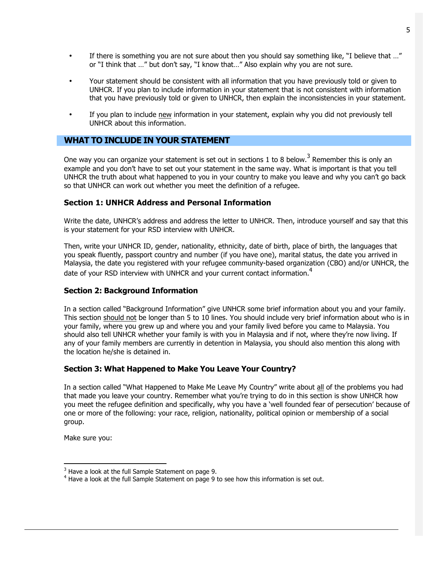- If there is something you are not sure about then you should say something like, "I believe that ..." or "I think that …" but don't say, "I know that…" Also explain why you are not sure.
- Your statement should be consistent with all information that you have previously told or given to UNHCR. If you plan to include information in your statement that is not consistent with information that you have previously told or given to UNHCR, then explain the inconsistencies in your statement.
- If you plan to include new information in your statement, explain why you did not previously tell UNHCR about this information.

#### **WHAT TO INCLUDE IN YOUR STATEMENT**

One way you can organize your statement is set out in sections 1 to 8 below.<sup>3</sup> Remember this is only an example and you don't have to set out your statement in the same way. What is important is that you tell UNHCR the truth about what happened to you in your country to make you leave and why you can't go back so that UNHCR can work out whether you meet the definition of a refugee.

#### **Section 1: UNHCR Address and Personal Information**

Write the date, UNHCR's address and address the letter to UNHCR. Then, introduce yourself and say that this is your statement for your RSD interview with UNHCR.

Then, write your UNHCR ID, gender, nationality, ethnicity, date of birth, place of birth, the languages that you speak fluently, passport country and number (if you have one), marital status, the date you arrived in Malaysia, the date you registered with your refugee community-based organization (CBO) and/or UNHCR, the date of your RSD interview with UNHCR and your current contact information.<sup>4</sup>

#### **Section 2: Background Information**

In a section called "Background Information" give UNHCR some brief information about you and your family. This section should not be longer than 5 to 10 lines. You should include very brief information about who is in your family, where you grew up and where you and your family lived before you came to Malaysia. You should also tell UNHCR whether your family is with you in Malaysia and if not, where they're now living. If any of your family members are currently in detention in Malaysia, you should also mention this along with the location he/she is detained in.

#### **Section 3: What Happened to Make You Leave Your Country?**

In a section called "What Happened to Make Me Leave My Country" write about all of the problems you had that made you leave your country. Remember what you're trying to do in this section is show UNHCR how you meet the refugee definition and specifically, why you have a 'well founded fear of persecution' because of one or more of the following: your race, religion, nationality, political opinion or membership of a social group.

Make sure you:

 $3$  Have a look at the full Sample Statement on page 9.

 $4$  Have a look at the full Sample Statement on page 9 to see how this information is set out.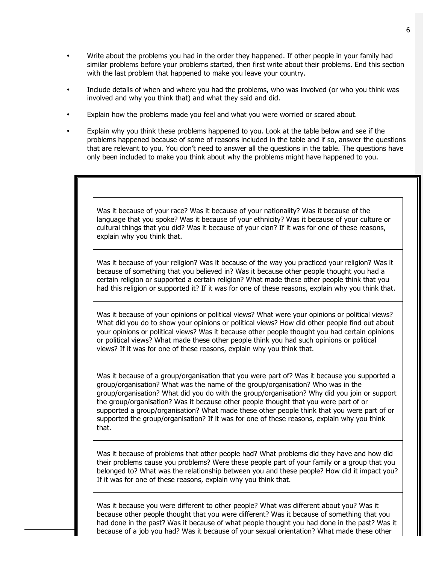- Write about the problems you had in the order they happened. If other people in your family had similar problems before your problems started, then first write about their problems. End this section with the last problem that happened to make you leave your country.
- Include details of when and where you had the problems, who was involved (or who you think was involved and why you think that) and what they said and did.
- Explain how the problems made you feel and what you were worried or scared about.
- Explain why you think these problems happened to you. Look at the table below and see if the problems happened because of some of reasons included in the table and if so, answer the questions that are relevant to you. You don't need to answer all the questions in the table. The questions have only been included to make you think about why the problems might have happened to you.

Was it because of your race? Was it because of your nationality? Was it because of the language that you spoke? Was it because of your ethnicity? Was it because of your culture or cultural things that you did? Was it because of your clan? If it was for one of these reasons, explain why you think that.

Was it because of your religion? Was it because of the way you practiced your religion? Was it because of something that you believed in? Was it because other people thought you had a certain religion or supported a certain religion? What made these other people think that you had this religion or supported it? If it was for one of these reasons, explain why you think that.

Was it because of your opinions or political views? What were your opinions or political views? What did you do to show your opinions or political views? How did other people find out about your opinions or political views? Was it because other people thought you had certain opinions or political views? What made these other people think you had such opinions or political views? If it was for one of these reasons, explain why you think that.

Was it because of a group/organisation that you were part of? Was it because you supported a group/organisation? What was the name of the group/organisation? Who was in the group/organisation? What did you do with the group/organisation? Why did you join or support the group/organisation? Was it because other people thought that you were part of or supported a group/organisation? What made these other people think that you were part of or supported the group/organisation? If it was for one of these reasons, explain why you think that.

Was it because of problems that other people had? What problems did they have and how did their problems cause you problems? Were these people part of your family or a group that you belonged to? What was the relationship between you and these people? How did it impact you? If it was for one of these reasons, explain why you think that.

Was it because you were different to other people? What was different about you? Was it because other people thought that you were different? Was it because of something that you had done in the past? Was it because of what people thought you had done in the past? Was it because of a job you had? Was it because of your sexual orientation? What made these other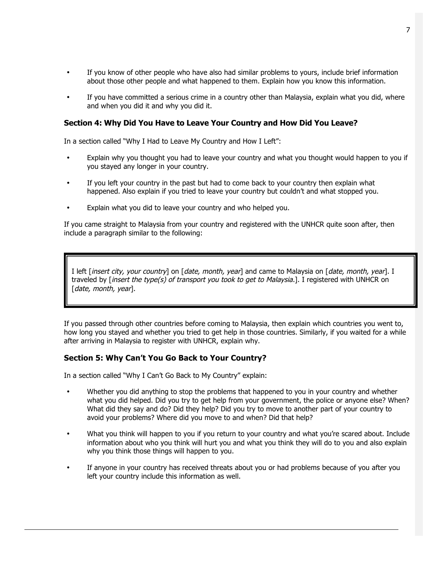- If you know of other people who have also had similar problems to yours, include brief information about those other people and what happened to them. Explain how you know this information.
- If you have committed a serious crime in a country other than Malaysia, explain what you did, where and when you did it and why you did it.

#### **Section 4: Why Did You Have to Leave Your Country and How Did You Leave?**

In a section called "Why I Had to Leave My Country and How I Left":

- Explain why you thought you had to leave your country and what you thought would happen to you if you stayed any longer in your country.
- If you left your country in the past but had to come back to your country then explain what happened. Also explain if you tried to leave your country but couldn't and what stopped you.
- Explain what you did to leave your country and who helped you.

If you came straight to Malaysia from your country and registered with the UNHCR quite soon after, then include a paragraph similar to the following:

I left [insert city, your country] on [date, month, year] and came to Malaysia on [date, month, year]. I traveled by [insert the type(s) of transport you took to get to Malaysia.]. I registered with UNHCR on [date, month, year].

If you passed through other countries before coming to Malaysia, then explain which countries you went to, how long you stayed and whether you tried to get help in those countries. Similarly, if you waited for a while after arriving in Malaysia to register with UNHCR, explain why.

#### **Section 5: Why Can't You Go Back to Your Country?**

In a section called "Why I Can't Go Back to My Country" explain:

- Whether you did anything to stop the problems that happened to you in your country and whether what you did helped. Did you try to get help from your government, the police or anyone else? When? What did they say and do? Did they help? Did you try to move to another part of your country to avoid your problems? Where did you move to and when? Did that help?
- What you think will happen to you if you return to your country and what you're scared about. Include information about who you think will hurt you and what you think they will do to you and also explain why you think those things will happen to you.
- If anyone in your country has received threats about you or had problems because of you after you left your country include this information as well.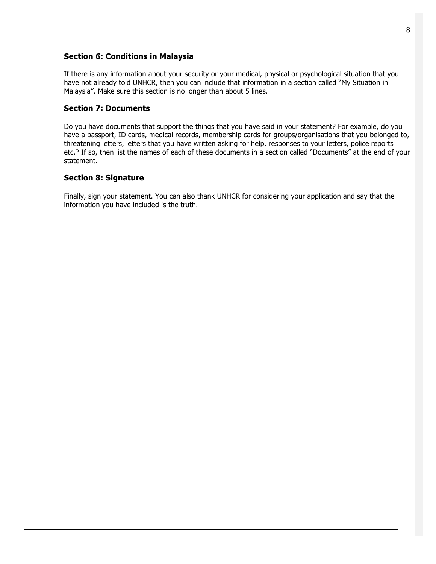#### **Section 6: Conditions in Malaysia**

If there is any information about your security or your medical, physical or psychological situation that you have not already told UNHCR, then you can include that information in a section called "My Situation in Malaysia". Make sure this section is no longer than about 5 lines.

#### **Section 7: Documents**

Do you have documents that support the things that you have said in your statement? For example, do you have a passport, ID cards, medical records, membership cards for groups/organisations that you belonged to, threatening letters, letters that you have written asking for help, responses to your letters, police reports etc.? If so, then list the names of each of these documents in a section called "Documents" at the end of your statement.

#### **Section 8: Signature**

Finally, sign your statement. You can also thank UNHCR for considering your application and say that the information you have included is the truth.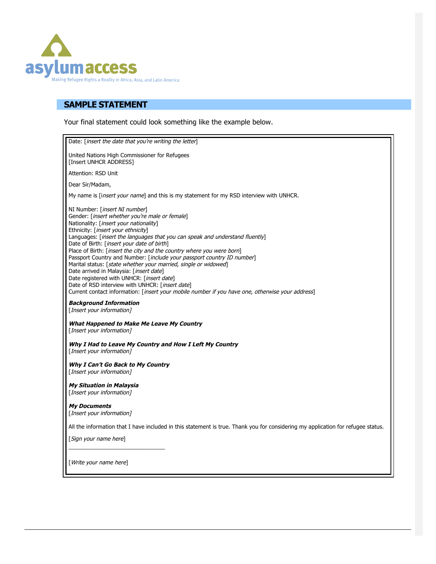

### **SAMPLE STATEMENT**

Your final statement could look something like the example below.

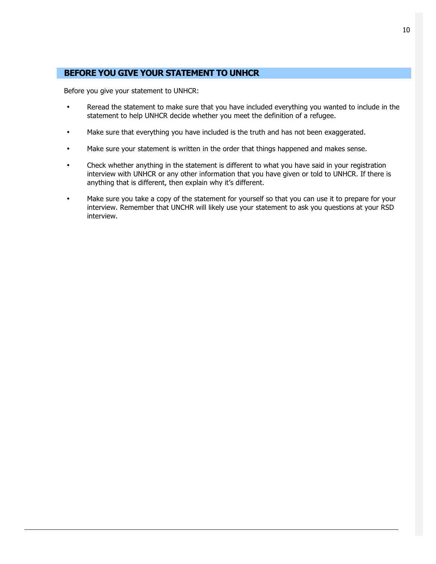#### **BEFORE YOU GIVE YOUR STATEMENT TO UNHCR**

Before you give your statement to UNHCR:

- Reread the statement to make sure that you have included everything you wanted to include in the statement to help UNHCR decide whether you meet the definition of a refugee.
- Make sure that everything you have included is the truth and has not been exaggerated.
- Make sure your statement is written in the order that things happened and makes sense.
- Check whether anything in the statement is different to what you have said in your registration interview with UNHCR or any other information that you have given or told to UNHCR. If there is anything that is different, then explain why it's different.
- Make sure you take a copy of the statement for yourself so that you can use it to prepare for your interview. Remember that UNCHR will likely use your statement to ask you questions at your RSD interview.